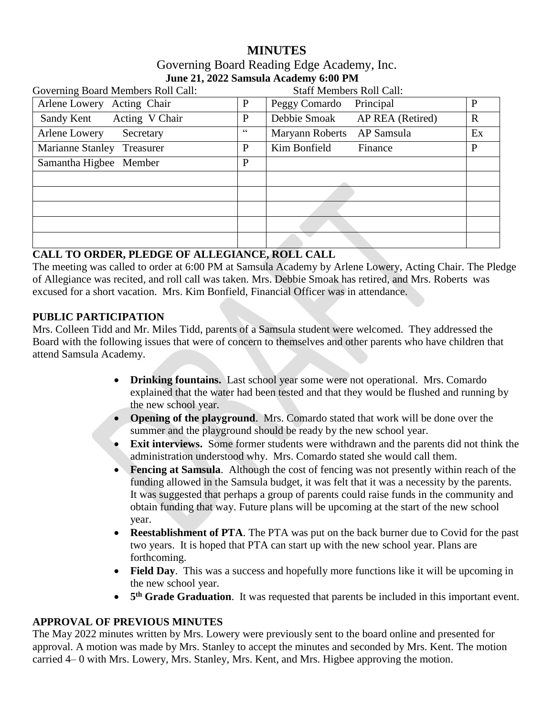# **MINUTES**

### Governing Board Reading Edge Academy, Inc. **June 21, 2022 Samsula Academy 6:00 PM**

| Governing Board Members Roll Call: |    | <b>Staff Members Roll Call:</b>  |             |
|------------------------------------|----|----------------------------------|-------------|
| Arlene Lowery Acting Chair         | P  | Peggy Comardo<br>Principal       | P           |
| Acting V Chair<br>Sandy Kent       | P  | Debbie Smoak<br>AP REA (Retired) | $\mathbf R$ |
| Arlene Lowery<br>Secretary         | 66 | AP Samsula<br>Maryann Roberts    | Ex          |
| Marianne Stanley Treasurer         | P  | Kim Bonfield<br>Finance          | P           |
| Samantha Higbee Member             | P  |                                  |             |
|                                    |    |                                  |             |
|                                    |    |                                  |             |
|                                    |    |                                  |             |
|                                    |    |                                  |             |
|                                    |    |                                  |             |

### **CALL TO ORDER, PLEDGE OF ALLEGIANCE, ROLL CALL**

The meeting was called to order at 6:00 PM at Samsula Academy by Arlene Lowery, Acting Chair. The Pledge of Allegiance was recited, and roll call was taken. Mrs. Debbie Smoak has retired, and Mrs. Roberts was excused for a short vacation. Mrs. Kim Bonfield, Financial Officer was in attendance.

#### **PUBLIC PARTICIPATION**

Mrs. Colleen Tidd and Mr. Miles Tidd, parents of a Samsula student were welcomed. They addressed the Board with the following issues that were of concern to themselves and other parents who have children that attend Samsula Academy.

- **Drinking fountains.** Last school year some were not operational. Mrs. Comardo explained that the water had been tested and that they would be flushed and running by the new school year.
- **Opening of the playground**. Mrs. Comardo stated that work will be done over the summer and the playground should be ready by the new school year.
- **Exit interviews.** Some former students were withdrawn and the parents did not think the administration understood why. Mrs. Comardo stated she would call them.
- **Fencing at Samsula**. Although the cost of fencing was not presently within reach of the funding allowed in the Samsula budget, it was felt that it was a necessity by the parents. It was suggested that perhaps a group of parents could raise funds in the community and obtain funding that way. Future plans will be upcoming at the start of the new school year.
- **Reestablishment of PTA**. The PTA was put on the back burner due to Covid for the past two years. It is hoped that PTA can start up with the new school year. Plans are forthcoming.
- **Field Day**. This was a success and hopefully more functions like it will be upcoming in the new school year.
- **•** 5<sup>th</sup> Grade Graduation. It was requested that parents be included in this important event.

### **APPROVAL OF PREVIOUS MINUTES**

The May 2022 minutes written by Mrs. Lowery were previously sent to the board online and presented for approval. A motion was made by Mrs. Stanley to accept the minutes and seconded by Mrs. Kent. The motion carried 4– 0 with Mrs. Lowery, Mrs. Stanley, Mrs. Kent, and Mrs. Higbee approving the motion.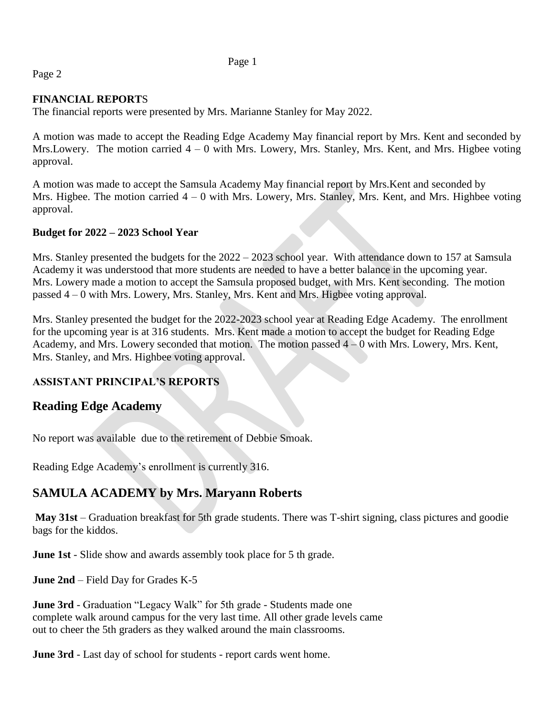Page 1

## Page 2

### **FINANCIAL REPORT**S

The financial reports were presented by Mrs. Marianne Stanley for May 2022.

A motion was made to accept the Reading Edge Academy May financial report by Mrs. Kent and seconded by Mrs. Lowery. The motion carried  $4 - 0$  with Mrs. Lowery, Mrs. Stanley, Mrs. Kent, and Mrs. Higbee voting approval.

A motion was made to accept the Samsula Academy May financial report by Mrs.Kent and seconded by Mrs. Higbee. The motion carried  $4 - 0$  with Mrs. Lowery, Mrs. Stanley, Mrs. Kent, and Mrs. Highbee voting approval.

### **Budget for 2022 – 2023 School Year**

Mrs. Stanley presented the budgets for the  $2022 - 2023$  school year. With attendance down to 157 at Samsula Academy it was understood that more students are needed to have a better balance in the upcoming year. Mrs. Lowery made a motion to accept the Samsula proposed budget, with Mrs. Kent seconding. The motion passed 4 – 0 with Mrs. Lowery, Mrs. Stanley, Mrs. Kent and Mrs. Higbee voting approval.

Mrs. Stanley presented the budget for the 2022-2023 school year at Reading Edge Academy. The enrollment for the upcoming year is at 316 students. Mrs. Kent made a motion to accept the budget for Reading Edge Academy, and Mrs. Lowery seconded that motion. The motion passed  $4 - 0$  with Mrs. Lowery, Mrs. Kent, Mrs. Stanley, and Mrs. Highbee voting approval.

## **ASSISTANT PRINCIPAL'S REPORTS**

# **Reading Edge Academy**

No report was available due to the retirement of Debbie Smoak.

Reading Edge Academy's enrollment is currently 316.

# **SAMULA ACADEMY by Mrs. Maryann Roberts**

**May 31st** – Graduation breakfast for 5th grade students. There was T-shirt signing, class pictures and goodie bags for the kiddos.

**June 1st** - Slide show and awards assembly took place for 5 th grade.

**June 2nd** – Field Day for Grades K-5

**June 3rd** - Graduation "Legacy Walk" for 5th grade - Students made one complete walk around campus for the very last time. All other grade levels came out to cheer the 5th graders as they walked around the main classrooms.

**June 3rd** - Last day of school for students - report cards went home.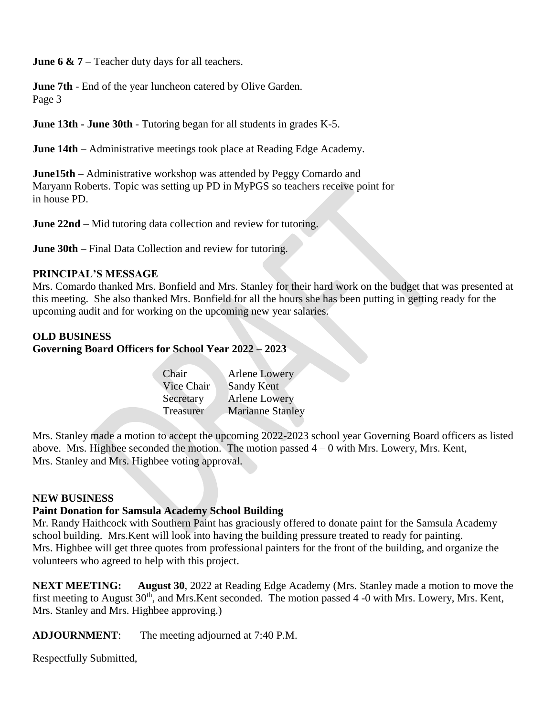**June 6 & 7** – Teacher duty days for all teachers.

**June 7th** - End of the year luncheon catered by Olive Garden. Page 3

**June 13th - June 30th** - Tutoring began for all students in grades K-5.

**June 14th** – Administrative meetings took place at Reading Edge Academy.

**June15th** – Administrative workshop was attended by Peggy Comardo and Maryann Roberts. Topic was setting up PD in MyPGS so teachers receive point for in house PD.

**June 22nd** – Mid tutoring data collection and review for tutoring.

**June 30th** – Final Data Collection and review for tutoring.

#### **PRINCIPAL'S MESSAGE**

Mrs. Comardo thanked Mrs. Bonfield and Mrs. Stanley for their hard work on the budget that was presented at this meeting. She also thanked Mrs. Bonfield for all the hours she has been putting in getting ready for the upcoming audit and for working on the upcoming new year salaries.

#### **OLD BUSINESS**

### **Governing Board Officers for School Year 2022 – 2023**

| Chair      | Arlene Lowery           |
|------------|-------------------------|
| Vice Chair | <b>Sandy Kent</b>       |
| Secretary  | <b>Arlene Lowery</b>    |
| Treasurer  | <b>Marianne Stanley</b> |

Mrs. Stanley made a motion to accept the upcoming 2022-2023 school year Governing Board officers as listed above. Mrs. Highbee seconded the motion. The motion passed  $4 - 0$  with Mrs. Lowery, Mrs. Kent, Mrs. Stanley and Mrs. Highbee voting approval.

#### **NEW BUSINESS**

### **Paint Donation for Samsula Academy School Building**

Mr. Randy Haithcock with Southern Paint has graciously offered to donate paint for the Samsula Academy school building. Mrs.Kent will look into having the building pressure treated to ready for painting. Mrs. Highbee will get three quotes from professional painters for the front of the building, and organize the volunteers who agreed to help with this project.

**NEXT MEETING: August 30**, 2022 at Reading Edge Academy (Mrs. Stanley made a motion to move the first meeting to August  $30<sup>th</sup>$ , and Mrs. Kent seconded. The motion passed 4 -0 with Mrs. Lowery, Mrs. Kent, Mrs. Stanley and Mrs. Highbee approving.)

**ADJOURNMENT**: The meeting adjourned at 7:40 P.M.

Respectfully Submitted,